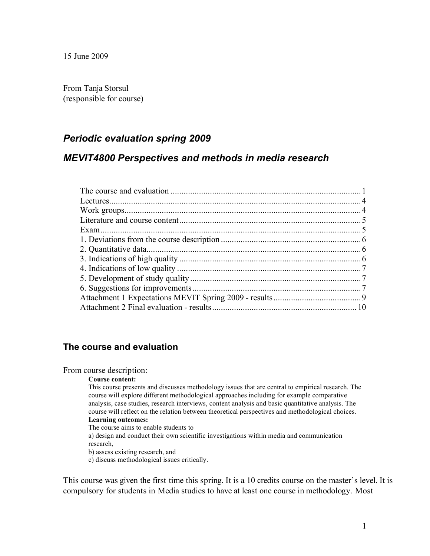From Tanja Storsul (responsible for course)

## *Periodic evaluation spring 2009*

#### *MEVIT4800 Perspectives and methods in media research*

#### **The course and evaluation**

#### From course description:

#### **Course content:**

This course presents and discusses methodology issues that are central to empirical research. The course will explore different methodological approaches including for example comparative analysis, case studies, research interviews, content analysis and basic quantitative analysis. The course will reflect on the relation between theoretical perspectives and methodological choices. **Learning outcomes:**

The course aims to enable students to

a) design and conduct their own scientific investigations within media and communication research,

b) assess existing research, and

c) discuss methodological issues critically.

This course was given the first time this spring. It is a 10 credits course on the master's level. It is compulsory for students in Media studies to have at least one course in methodology. Most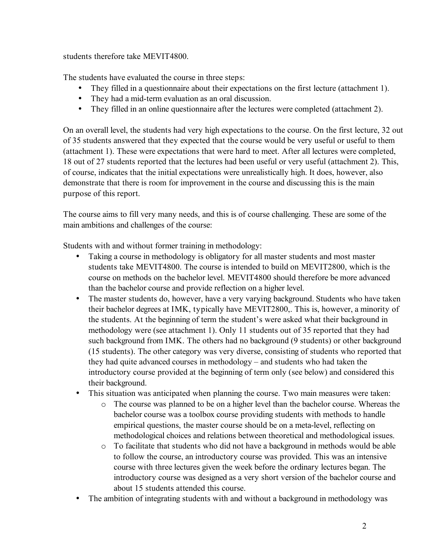students therefore take MEVIT4800.

The students have evaluated the course in three steps:

- They filled in a questionnaire about their expectations on the first lecture (attachment 1).
- They had a mid-term evaluation as an oral discussion.
- They filled in an online questionnaire after the lectures were completed (attachment 2).

On an overall level, the students had very high expectations to the course. On the first lecture, 32 out of 35 students answered that they expected that the course would be very useful or useful to them (attachment 1). These were expectations that were hard to meet. After all lectures were completed, 18 out of 27 students reported that the lectures had been useful or very useful (attachment 2). This, of course, indicates that the initial expectations were unrealistically high. It does, however, also demonstrate that there is room for improvement in the course and discussing this is the main purpose of this report.

The course aims to fill very many needs, and this is of course challenging. These are some of the main ambitions and challenges of the course:

Students with and without former training in methodology:

- Taking a course in methodology is obligatory for all master students and most master students take MEVIT4800. The course is intended to build on MEVIT2800, which is the course on methods on the bachelor level. MEVIT4800 should therefore be more advanced than the bachelor course and provide reflection on a higher level.
- The master students do, however, have a very varying background. Students who have taken their bachelor degrees at IMK, typically have MEVIT2800,. This is, however, a minority of the students. At the beginning of term the student's were asked what their background in methodology were (see attachment 1). Only 11 students out of 35 reported that they had such background from IMK. The others had no background (9 students) or other background (15 students). The other category was very diverse, consisting of students who reported that they had quite advanced courses in methodology – and students who had taken the introductory course provided at the beginning of term only (see below) and considered this their background.
- This situation was anticipated when planning the course. Two main measures were taken:
	- o The course was planned to be on a higher level than the bachelor course. Whereas the bachelor course was a toolbox course providing students with methods to handle empirical questions, the master course should be on a meta-level, reflecting on methodological choices and relations between theoretical and methodological issues.
	- $\circ$  To facilitate that students who did not have a background in methods would be able to follow the course, an introductory course was provided. This was an intensive course with three lectures given the week before the ordinary lectures began. The introductory course was designed as a very short version of the bachelor course and about 15 students attended this course.
- The ambition of integrating students with and without a background in methodology was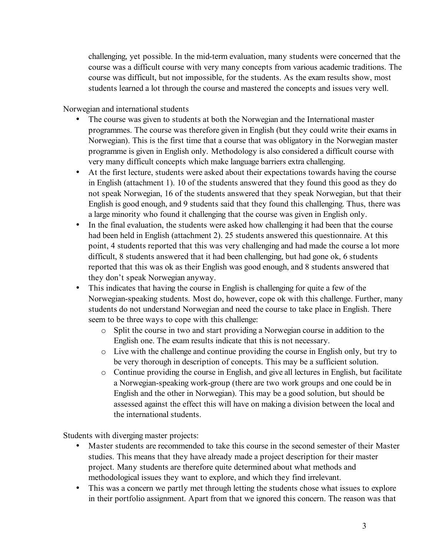challenging, yet possible. In the mid-term evaluation, many students were concerned that the course was a difficult course with very many concepts from various academic traditions. The course was difficult, but not impossible, for the students. As the exam results show, most students learned a lot through the course and mastered the concepts and issues very well.

Norwegian and international students

- The course was given to students at both the Norwegian and the International master programmes. The course was therefore given in English (but they could write their exams in Norwegian). This is the first time that a course that was obligatory in the Norwegian master programme is given in English only. Methodology is also considered a difficult course with very many difficult concepts which make language barriers extra challenging.
- At the first lecture, students were asked about their expectations towards having the course in English (attachment 1). 10 of the students answered that they found this good as they do not speak Norwegian, 16 of the students answered that they speak Norwegian, but that their English is good enough, and 9 students said that they found this challenging. Thus, there was a large minority who found it challenging that the course was given in English only.
- In the final evaluation, the students were asked how challenging it had been that the course had been held in English (attachment 2). 25 students answered this questionnaire. At this point, 4 students reported that this was very challenging and had made the course a lot more difficult, 8 students answered that it had been challenging, but had gone ok, 6 students reported that this was ok as their English was good enough, and 8 students answered that they don't speak Norwegian anyway.
- This indicates that having the course in English is challenging for quite a few of the Norwegian-speaking students. Most do, however, cope ok with this challenge. Further, many students do not understand Norwegian and need the course to take place in English. There seem to be three ways to cope with this challenge:
	- o Split the course in two and start providing a Norwegian course in addition to the English one. The exam results indicate that this is not necessary.
	- o Live with the challenge and continue providing the course in English only, but try to be very thorough in description of concepts. This may be a sufficient solution.
	- o Continue providing the course in English, and give all lectures in English, but facilitate a Norwegian-speaking work-group (there are two work groups and one could be in English and the other in Norwegian). This may be a good solution, but should be assessed against the effect this will have on making a division between the local and the international students.

Students with diverging master projects:

- Master students are recommended to take this course in the second semester of their Master studies. This means that they have already made a project description for their master project. Many students are therefore quite determined about what methods and methodological issues they want to explore, and which they find irrelevant.
- This was a concern we partly met through letting the students chose what issues to explore in their portfolio assignment. Apart from that we ignored this concern. The reason was that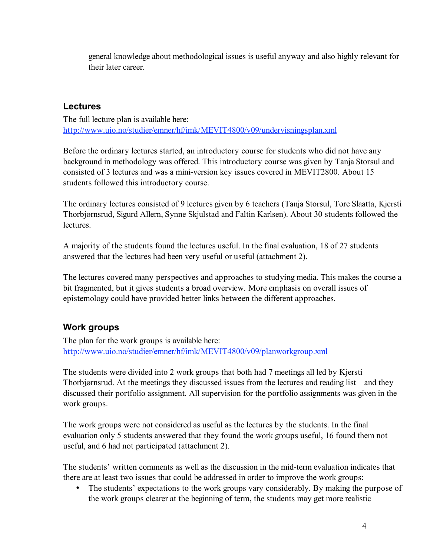general knowledge about methodological issues is useful anyway and also highly relevant for their later career.

#### **Lectures**

The full lecture plan is available here: http://www.uio.no/studier/emner/hf/imk/MEVIT4800/v09/undervisningsplan.xml

Before the ordinary lectures started, an introductory course for students who did not have any background in methodology was offered. This introductory course was given by Tanja Storsul and consisted of 3 lectures and was a mini-version key issues covered in MEVIT2800. About 15 students followed this introductory course.

The ordinary lectures consisted of 9 lectures given by 6 teachers (Tanja Storsul, Tore Slaatta, Kjersti Thorbjørnsrud, Sigurd Allern, Synne Skjulstad and Faltin Karlsen). About 30 students followed the **lectures** 

A majority of the students found the lectures useful. In the final evaluation, 18 of 27 students answered that the lectures had been very useful or useful (attachment 2).

The lectures covered many perspectives and approaches to studying media. This makes the course a bit fragmented, but it gives students a broad overview. More emphasis on overall issues of epistemology could have provided better links between the different approaches.

# **Work groups**

The plan for the work groups is available here: http://www.uio.no/studier/emner/hf/imk/MEVIT4800/v09/planworkgroup.xml

The students were divided into 2 work groups that both had 7 meetings all led by Kjersti Thorbjørnsrud. At the meetings they discussed issues from the lectures and reading list – and they discussed their portfolio assignment. All supervision for the portfolio assignments was given in the work groups.

The work groups were not considered as useful as the lectures by the students. In the final evaluation only 5 students answered that they found the work groups useful, 16 found them not useful, and 6 had not participated (attachment 2).

The students' written comments as well as the discussion in the mid-term evaluation indicates that there are at least two issues that could be addressed in order to improve the work groups:

• The students' expectations to the work groups vary considerably. By making the purpose of the work groups clearer at the beginning of term, the students may get more realistic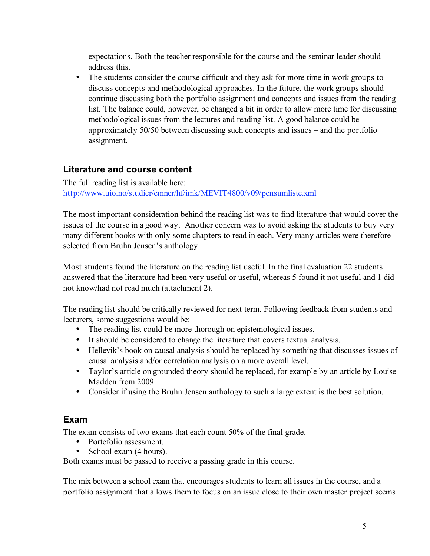expectations. Both the teacher responsible for the course and the seminar leader should address this.

• The students consider the course difficult and they ask for more time in work groups to discuss concepts and methodological approaches. In the future, the work groups should continue discussing both the portfolio assignment and concepts and issues from the reading list. The balance could, however, be changed a bit in order to allow more time for discussing methodological issues from the lectures and reading list. A good balance could be approximately 50/50 between discussing such concepts and issues – and the portfolio assignment.

# **Literature and course content**

The full reading list is available here: http://www.uio.no/studier/emner/hf/imk/MEVIT4800/v09/pensumliste.xml

The most important consideration behind the reading list was to find literature that would cover the issues of the course in a good way. Another concern was to avoid asking the students to buy very many different books with only some chapters to read in each. Very many articles were therefore selected from Bruhn Jensen's anthology.

Most students found the literature on the reading list useful. In the final evaluation 22 students answered that the literature had been very useful or useful, whereas 5 found it not useful and 1 did not know/had not read much (attachment 2).

The reading list should be critically reviewed for next term. Following feedback from students and lecturers, some suggestions would be:

- The reading list could be more thorough on epistemological issues.
- It should be considered to change the literature that covers textual analysis.
- Hellevik's book on causal analysis should be replaced by something that discusses issues of causal analysis and/or correlation analysis on a more overall level.
- Taylor's article on grounded theory should be replaced, for example by an article by Louise Madden from 2009.
- Consider if using the Bruhn Jensen anthology to such a large extent is the best solution.

## **Exam**

The exam consists of two exams that each count 50% of the final grade.

- Portefolio assessment.
- School exam (4 hours).

Both exams must be passed to receive a passing grade in this course.

The mix between a school exam that encourages students to learn all issues in the course, and a portfolio assignment that allows them to focus on an issue close to their own master project seems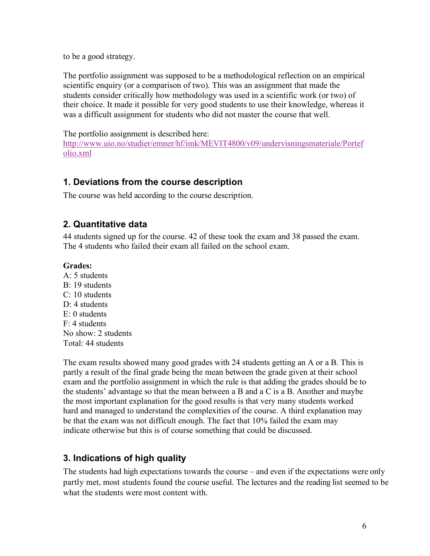to be a good strategy.

The portfolio assignment was supposed to be a methodological reflection on an empirical scientific enquiry (or a comparison of two). This was an assignment that made the students consider critically how methodology was used in a scientific work (or two) of their choice. It made it possible for very good students to use their knowledge, whereas it was a difficult assignment for students who did not master the course that well.

The portfolio assignment is described here:

http://www.uio.no/studier/emner/hf/imk/MEVIT4800/v09/undervisningsmateriale/Portef olio.xml

# **1. Deviations from the course description**

The course was held according to the course description.

## **2. Quantitative data**

44 students signed up for the course. 42 of these took the exam and 38 passed the exam. The 4 students who failed their exam all failed on the school exam.

#### **Grades:**

A: 5 students B: 19 students C: 10 students  $D \cdot 4$  students E: 0 students  $F: 4$  students No show: 2 students Total: 44 students

The exam results showed many good grades with 24 students getting an A or a B. This is partly a result of the final grade being the mean between the grade given at their school exam and the portfolio assignment in which the rule is that adding the grades should be to the students' advantage so that the mean between a B and a C is a B. Another and maybe the most important explanation for the good results is that very many students worked hard and managed to understand the complexities of the course. A third explanation may be that the exam was not difficult enough. The fact that 10% failed the exam may indicate otherwise but this is of course something that could be discussed.

## **3. Indications of high quality**

The students had high expectations towards the course – and even if the expectations were only partly met, most students found the course useful. The lectures and the reading list seemed to be what the students were most content with.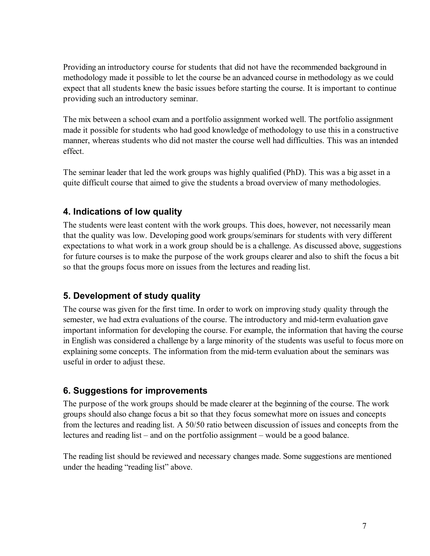Providing an introductory course for students that did not have the recommended background in methodology made it possible to let the course be an advanced course in methodology as we could expect that all students knew the basic issues before starting the course. It is important to continue providing such an introductory seminar.

The mix between a school exam and a portfolio assignment worked well. The portfolio assignment made it possible for students who had good knowledge of methodology to use this in a constructive manner, whereas students who did not master the course well had difficulties. This was an intended effect.

The seminar leader that led the work groups was highly qualified (PhD). This was a big asset in a quite difficult course that aimed to give the students a broad overview of many methodologies.

# **4. Indications of low quality**

The students were least content with the work groups. This does, however, not necessarily mean that the quality was low. Developing good work groups/seminars for students with very different expectations to what work in a work group should be is a challenge. As discussed above, suggestions for future courses is to make the purpose of the work groups clearer and also to shift the focus a bit so that the groups focus more on issues from the lectures and reading list.

## **5. Development of study quality**

The course was given for the first time. In order to work on improving study quality through the semester, we had extra evaluations of the course. The introductory and mid-term evaluation gave important information for developing the course. For example, the information that having the course in English was considered a challenge by a large minority of the students was useful to focus more on explaining some concepts. The information from the mid-term evaluation about the seminars was useful in order to adjust these.

# **6. Suggestions for improvements**

The purpose of the work groups should be made clearer at the beginning of the course. The work groups should also change focus a bit so that they focus somewhat more on issues and concepts from the lectures and reading list. A 50/50 ratio between discussion of issues and concepts from the lectures and reading list – and on the portfolio assignment – would be a good balance.

The reading list should be reviewed and necessary changes made. Some suggestions are mentioned under the heading "reading list" above.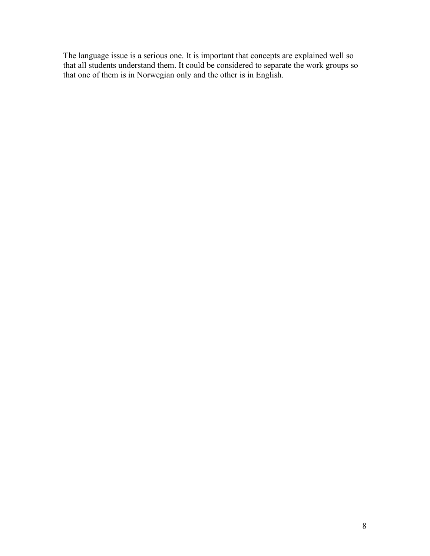The language issue is a serious one. It is important that concepts are explained well so that all students understand them. It could be considered to separate the work groups so that one of them is in Norwegian only and the other is in English.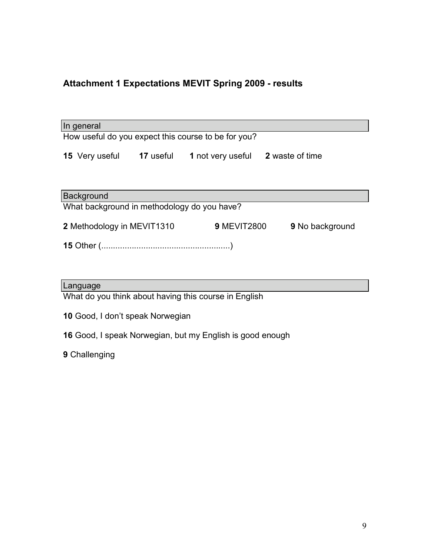# **Attachment 1 Expectations MEVIT Spring 2009 - results**

| In general                                          |           |                    |                        |
|-----------------------------------------------------|-----------|--------------------|------------------------|
| How useful do you expect this course to be for you? |           |                    |                        |
| <b>15</b> Very useful                               | 17 useful | 1 not very useful  | <b>2</b> waste of time |
| Background                                          |           |                    |                        |
| What background in methodology do you have?         |           |                    |                        |
| 2 Methodology in MEVIT1310                          |           | <b>9 MEVIT2800</b> | <b>9</b> No background |
|                                                     |           |                    |                        |

#### Language

What do you think about having this course in English

- **10** Good, I don't speak Norwegian
- **16** Good, I speak Norwegian, but my English is good enough

**9** Challenging